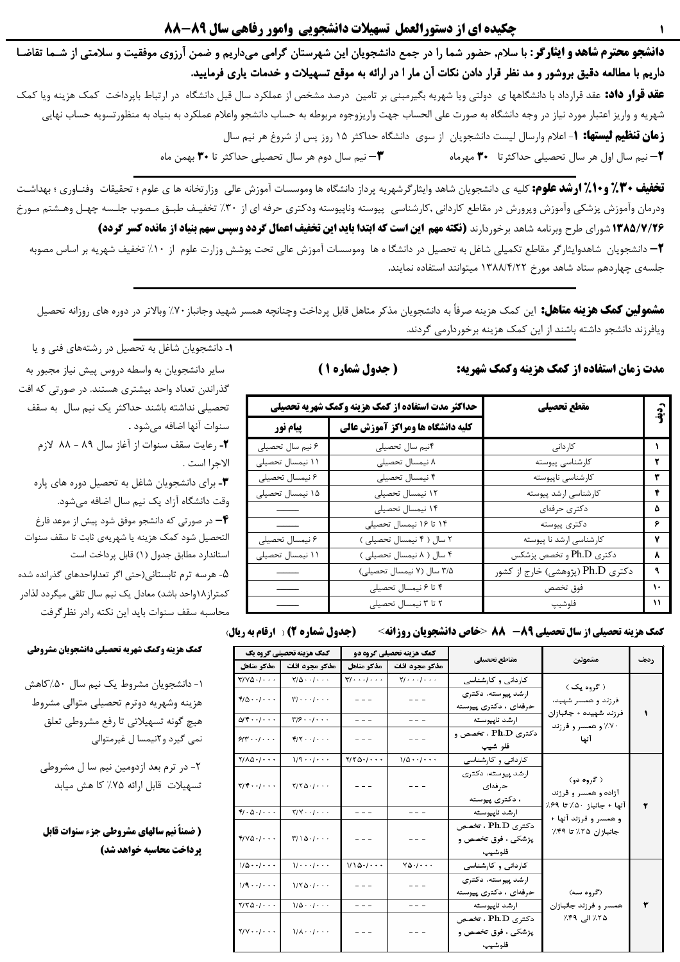دانشجو محترم شاهد و ایثارگر : با سلام, حضور شما را در جمع دانشجویان این شهرستان گرامی میداریم و ضمن آرزوی موفقیت و سلامتی از شـما تقاضـا داریم با مطالعه دقیق بروشور و مد نظر قرار دادن نکات آن مار ا در ارائه به موقع تسهیلات و خدمات یاری فرمایید. **عقد قرار داد:** عقد قرارداد با دانشگاهها ی دولتی ویا شهریه بگیرمبنی بر تامین درصد مشخص از عملکرد سال قبل دانشگاه در ارتباط باپرداخت کمک هزینه ویا کمک شهریه و واریز اعتبار مورد نیاز در وجه دانشگاه به صورت علی الحساب جهت واریزوجوه مربوطه به حساب دانشجو واعلام عملکرد به بنیاد به منظورتسویه حساب نهایی **زمان تنظیم لیستها: ۱**- اعلام وارسال لیست دانشجویان از سوی دانشگاه حداکثر ۱۵ روز پس از شروغ هر نیم سال **۲**– نیم سال اول هر سال تحصیلی حداکثرتا۔ ۳۰ مهرماه ▼− نیم سال دوم هر سال تحصیلی حداکثر تا ۳۰ بهمن ماه

**تخفیف ۲۰٪ و ۱۰٪ ارشد علوم:** کلیه ی دانشجویان شاهد وایثارگرشهریه پرداز دانشگاه ها وموسسات آموزش عالی وزارتخانه ها ی علوم ؛ تحقیقات وفنـاوری ؛ بهداشـت ودرمان وآموزش پزشکی وآموزش وپرورش در مقاطع کاردانی ,کارشناسی پیوسته وناپیوسته ودکتری حرفه ای از ۳۰٪ تخفیـف طبـق مـصوب جلـسه چهـل وهـشتم مـورخ ۱۳۸۵/۷/۲۶ شورای طرح وبرنامه شاهد برخوردارند **(نکته مهم این است که ابتدا باید این تخفیف اعمال گردد وسپس سهم بنیاد از مانده کسر گردد)** + دانشجویان شاهدوایثارگر مقاطع تکمیلی شاغل به تحصیل در دانشگا ه ها وموسسات آموزش عالی تحت پوشش وزارت علوم از ۱۰٪ تخفیف شهریه بر اساس مصوبه جلسهى چهاردهم ستاد شاهد مورخ ١٣٨٨/۴/٢٢ ميتوانند استفاده نمايند.

**مشمولین کمک هزینه متاهل:** این کمک هزینه صرفاً به دانشجویان مذکر متاهل قابل پرداخت وچنانچه همسر شهید وجانباز ۷۰٪ وبالاتر در دوره های روزانه تحصیل ویافرزند دانشجو داشته باشند از این کمک هزینه برخوردارمی گردند.

مدت زمان استفاده از کمک هزینه وکمک شهریه:

**کمک هزینه تحصیلی از سال تحصیلی ۸۹- 85 × حاص دانشجویان روزانه>** 

| ( جدول شماره ۱ ) |  |
|------------------|--|
|                  |  |

|                  | حداکثر مدت استفاده از کمک هزینه وکمک شهریه تحصیلی | مقطع تحصيلي                      | رو.<br>او |
|------------------|---------------------------------------------------|----------------------------------|-----------|
| <b>پیام نور</b>  | کلیه دانشگاه ها ومراکز آموزش عالی                 |                                  |           |
| ۶ نیم سال تحصیلی | ۴نیم سال تحصیلی                                   | كاردانى                          |           |
| ۱۱ نیمسال تحصیلی | ۸ نیمسال تحصیلی                                   | كارشناسي پيوسته                  |           |
| ۶ نیمسال تحصیلی  | ۴ نیمسال تحصیلی                                   | كارشناسي ناپيوسته                | ٣         |
| ۱۵ نیمسال تحصیلی | ۱۲ نیمسال تحصیلی                                  | كارشناسي ارشد پيوسته             | ۴         |
|                  | ۱۴ نیمسال تحصیلی                                  | دكترى حرفهاي                     | ۵         |
|                  | ۱۴ تا ۱۶ نیمسال تحصیلی                            | دكترى پيوسته                     | ۶         |
| ۶ نیمسال تحصیلی  | ٢ سال ( ۴ نيمسال تحصيلى)                          | کارشناسی ارشد نا پیوسته          | ۷         |
| ۱۱ نیمسال تحصیلی | ۴ سال ( ۸ نیمسال تحصیلی )                         | دکتری Ph.D و تخصص پزشکس          | ٨         |
|                  | ٣/۵ سال (٧ نیمسال تحصیلی)                         | دکتری Ph.D (پژوهشی) خارج از کشور | ٩         |
|                  | ۴ تا ۶ نیمسال تحصیلی                              | فوق تخصص                         | ۱۰        |
|                  | ۲ تا ۳ نیمسال تحصیلی                              | فلوشيپ                           | ۱۱        |

سایر دانشجویان به واسطه دروس پیش نیاز مجبور به گذراندن تعداد واحد بیشتری هستند. در صورتی که افت تحصیلی نداشته باشند حداکثر یک نیم سال به سقف سنوات آنها اضافه مىشود . ۲- رعايت سقف سنوات از آغاز سال ۸۹ - ۸۸ لازم الاجرا است . ۰۳ برای دانشجویان شاغل به تحصیل دوره های پاره وقت دانشگاه آزاد یک نیم سال اضافه میشود. در صورتی که دانشجو موفق شود پیش از موعد فارغ $\blacktriangleright$ التحصيل شود كمك هزينه يا شهريهى ثابت تا سقف سنوات استاندارد مطابق جدول (١) قابل پرداخت است ۵- هرسه ترم تابستانی(حتی اگر تعداواحدهای گذرانده شده کمتراز ۱۸واحد باشد) معادل یک نیم سال تلقی میگردد لذادر

1- دانشجویان شاغل به تحصیل در رشتههای فنی و یا

محاسبه سقف سنوات بايد اين نكته رادر نظرگرفت (جدول شماره 2) ( ارقام به ریال)

|                                                                                                                                                | <b>کمک هزینه تحصیلی گروه یک</b>                     | <b>کمک هزینه تحصیلی گروه دو</b>             |                                                   |                                                                 |                                                                |             |  |
|------------------------------------------------------------------------------------------------------------------------------------------------|-----------------------------------------------------|---------------------------------------------|---------------------------------------------------|-----------------------------------------------------------------|----------------------------------------------------------------|-------------|--|
| مذكر متاهل                                                                                                                                     | مذكر مجرد اناث                                      | مذكر مجرد اناث<br>مذكر متاهل                |                                                   | مقاطع تحصيلي                                                    | مشمولين                                                        | <b>ردیف</b> |  |
| $Y/Y\Delta+1$                                                                                                                                  | $Y/\Delta$                                          | $\forall j \cdot \cdot \cdot j \cdot \cdot$ | $\forall j \cdot \cdot \cdot j \cdot \cdot \cdot$ | کاردانی و کارشناسی                                              |                                                                |             |  |
| $Y/\cdots/\cdots$<br>$f/\Delta$<br>$- - -$                                                                                                     |                                                     |                                             | ارشد پیوسته، دکتری<br>حرفهای ، دکتری پیوسته       |                                                                 | ( گروه یک )<br>فرزند و همسر شهید،                              |             |  |
| $\Delta$ $\uparrow$ $\cdots$                                                                                                                   | $\forall$ / $\circ$ $\cdot$ $\cdot$ $\cdot$ $\cdot$ | $- - -$                                     |                                                   | ارشد ناپیوسته                                                   | فرزند شهيده + جانبازان                                         |             |  |
| $91$ $\cdots$ $\cdots$                                                                                                                         | $\mathbf{f} / \mathbf{Y} \cdot \cdot / \cdot \cdot$ | $=$ $=$ $=$                                 | $- - -$                                           | دکتری Ph.D ، تخصص و<br>فلو شيپ                                  | ۷۰٪ و همسر و فرزند<br>أتها                                     |             |  |
| $Y/\lambda\Delta$ . $\cdots$                                                                                                                   | $1/9 \cdot \cdot / \cdot \cdot$                     | $Y/Y\Delta+1$                               | $1/\Delta \cdot \cdot / \cdot \cdot$              | کاردانی و کارشناسی                                              |                                                                |             |  |
| $Y/Y \cdot \cdot / \cdot \cdot$<br>$Y/Y\Delta$ . $\cdots$<br>$F/\cdot \Delta \cdot / \cdot \cdot \cdot$<br>$Y/Y \cdot \cdot \cdot \cdot \cdot$ |                                                     | $- - -$<br>$- - -$                          |                                                   | ارشد پیوسته، دکتری<br>حرفهای<br>، دکتری پیوسته<br>ارشد ناپيوسته | ( گروه دو)<br>آزاده و همسر و فرزند<br>آنها + جانباز ۵۰٪ تا ۶۹٪ |             |  |
| $f/\gamma\Delta$ . $\cdots$                                                                                                                    | $\frac{1}{2}$                                       | $- - -$                                     | $- - -$                                           | دکتری Ph.D ، تخصص<br>پزشکي ، فوق تخصص و<br>فلوشيپ               | و همسر و فرزند آنها +<br>جانبازان ۲۵٪ تا ۲۹٪                   |             |  |
| $1/\Delta$                                                                                                                                     | $V \cdot \cdot \cdot / \cdot \cdot$                 | 1/10.1                                      | $V\Delta$ . $/$                                   | کاردانی و کارشناسی                                              |                                                                |             |  |
| $1/9 \cdot 1/1 \cdot 1$<br>$1/\Upsilon \Delta$ ./                                                                                              |                                                     | $- - -$                                     |                                                   | ارشد پیوسته، دکتری<br>حرفهای ، دکتری پیوسته                     | (گروه سه)                                                      |             |  |
| $Y/Y\Delta+1$                                                                                                                                  | $1/\Delta \cdot \cdot / \cdot \cdot \cdot$          | $- - -$                                     | $- - -$                                           | ارشد ناپیوسته                                                   | همسر و فرزند چانبازان                                          |             |  |
| $Y/Y \cdot \cdot / \cdot \cdot$                                                                                                                | $\mathcal{U}$ $\mathcal{A}$                         | $- - -$                                     |                                                   | دکتری Ph.D ، تخصص<br>پزشکی ، فوق تخصص و<br>فلوشيپ               | ۲۵٪ الی ۴۹٪                                                    |             |  |

# كمك هزينه وكمك شهريه تحصيلي دانشجويان مشروطي

١- دانشجويان مشروط يک نيم سال ۵۰٪کاهش هزينه وشهريه دوترم تحصيلي متوالي مشروط هيچ گونه تسهيلاتي تا رفع مشروطي تعلق نمی گیرد و ۲نیمسا ل غیرمتوالی

٢- در ترم بعد ازدومين نيم سا ل مشروطي تسهیلات قابل ارائه ۷۵٪ کا هش میابد

( ضمناً نیم سالهای مشروطی جزء سنوات قابل پرداخت محاسبه خواهد شد)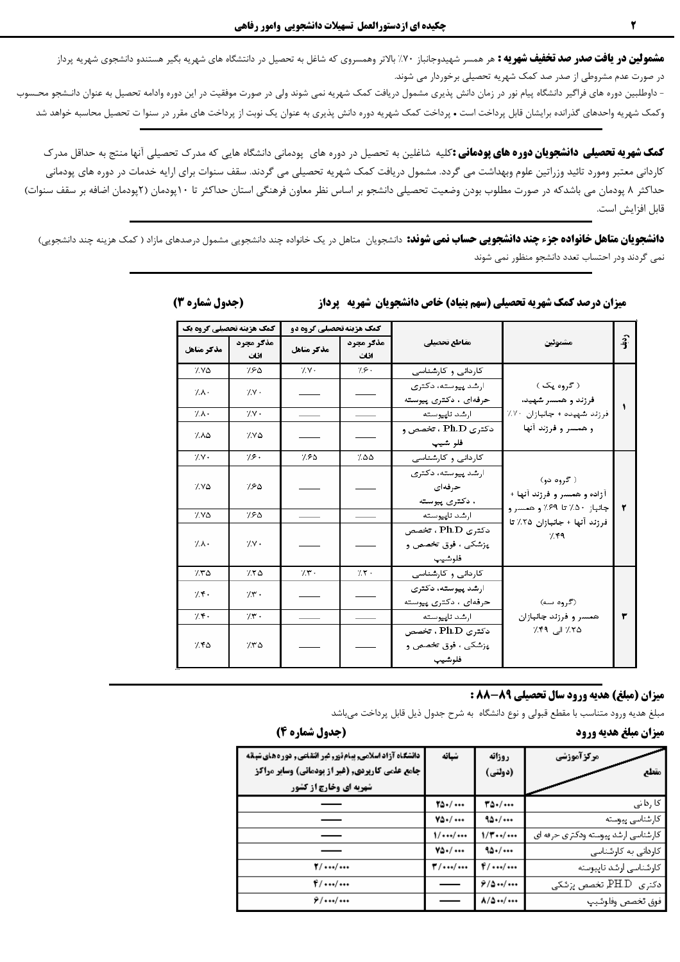**مشمولین در یافت صدر صد تخفیف شهریه :** هر همسر شهیدوجانباز ۷۰٪ بالاتر وهمسروی که شاغل به تحصیل در دانتشگاه های شهریه بگیر هستندو دانشجوی شهریه پرداز در صورت عدم مشروطی از صدر صد کمک شهریه تحصیلی برخوردار می شوند.

- داوطلبین دوره های فراگیر دانشگاه پیام نور در زمان دانش پذیری مشمول دریافت کمک شهریه نمی در مورف موفقیت در این دوره وادامه تحصیل به عنوان دانـشجو محـسوب وکمک شهریه واحدهای گذرانده برایشان قابل پرداخت است • پرداخت کمک شهریه دوره دانش پذیری به عنوان یک نوبت از پرداخت های مقرر در سنوا ت تحصیل محاسبه خواهد شد

**کمک شهریه تحصیلی دانشجویان دوره های پودمانی :**کلیه شاغلین به تحصیل در دوره های پودمانی دانشگاه هایی که مدرک تحصیلی آنها منتج به حداقل مدرک کاردانی معتبر ومورد تائید وزراتین علوم وبهداشت می گردد. مشمول دریافت کمک شهریه تحصیلی می گردند. سقف سنوات برای ارایه خدمات در دوره های پودمانی حداکثر ۸ پودمان می باشدکه در صورت مطلوب بودن وضعیت تحصیلی دانشجو بر اساس نظر معاون فرهنگی استان حداکثر تا ۱۰پودمان (۲پودمان اضافه بر سقف سنوات) قابل افزايش است.

**دانشجویان متاهل خانواده جزء چند دانشجویی حساب نمی شوند:** دانشجویان متاهل در یک خانواده چند دانشجویی مشمول درصدهای مازاد ( کمک هزینه چند دانشجویی) نمی گردند ودر احتساب تعدد دانشجو منظور نمی شوند

| کمک هزینه تحصیلی گروه یک |                   | <b>کمک هزینه تحصیلی گروه دو</b> |                   |                                                   |                                           | $\hat{3}$ |
|--------------------------|-------------------|---------------------------------|-------------------|---------------------------------------------------|-------------------------------------------|-----------|
| مذكر متاهل               | مذكر مجرد<br>اناث | مذكر متاهل                      | مذكر مجرد<br>اناث | مقاطع تحصيلي                                      | مشموئين                                   |           |
| ۷۷۵                      | 780               | 7.7.                            | 7.8.              | کاردانی و کارشناسی                                |                                           |           |
| 7.1.                     | $7.7 +$           |                                 |                   | ارشد پیوسته، دکتری<br>حرفهای ، دکتری پیوسته       | ( گروه یک )<br>فرزند و همسر شهید،         |           |
| 7.1.                     | $/V +$            |                                 |                   | ارشد ناپیوسته                                     | فرزند شهيده + جانبازان ٧٠٪                | ۰         |
| ۸۵/                      | ۷۷۵               |                                 |                   | دکتری Ph.D ، تخصص و<br>فلو شيپ                    | و همسر و فرزند آنها                       |           |
| $7.7 +$                  | 7.8.              | ۶۵/                             | ۵۵٪               | کاردانی و کارشناسی                                |                                           |           |
| ۷۷۵                      | 7.۶۵              |                                 |                   | ارشد پیوسته، دکتری<br>حرفهای<br>، دکتری پیوسته    | ( گروه دو)<br>آزاده و همسر و فرزند آنها + | ۲         |
| ۷۷۵                      | 7.۶۵              |                                 |                   | ارشد ناپیوسته                                     | جانباز ۵۰٪ تا ۶۹٪ و همسر و                |           |
| 7.1.                     | 7.7.              |                                 |                   | دکتری Ph.D ، تخصص<br>پزشکی ، فوق تخصص و<br>فلوشيپ | فرزند آنها + جانبازان ۲۵٪ تا<br>7.79      |           |
| ۲۳۵                      | 770               | $7.5$ .                         | $7.7 -$           | کاردانی و کارشناسی                                |                                           |           |
| 7.7.                     | $7.5$ .           |                                 |                   | ارشد پیوسته، دکتری<br>حرفهای ، دکتری پیوسته       | (گروه سه)                                 |           |
| 7.5.                     | $7.5$ .           |                                 |                   | ارشد للهيوسته                                     | همسر و فرزند جانبازان                     | ۳         |
| ۲۴۵                      | 7.70              |                                 |                   | دکتری Ph.D ، تخصص<br>پزشکی ، فوق تخصص و<br>فلوشيپ | ۲۵٪ الی ۲۹٪                               |           |

## **میزان درصد کمک شهریه تحصیلی (سهم بنیاد) خاص دانشجویان شهریه 5پرداز**

### (جدول شماره 3)

#### **میزان (مبلغ) هدیه ورود سال تحصیلی ۸۹-88 :**

مبلغ هديه ورود متناسب با مقطع قبولي و نوع دانشگاه به شرح جدول ذيل قابل پرداخت ميباشد

# ميزان مبلغ هديه ورود

#### (جدول شماره 4)

| دانشگاه آزاد اسلامی, پیام نور, غیر انتقاعی, دوره های شبانه<br><b>جامع علمی کاربردی, (غیر از پودمانی) وسایر مراکز</b><br><b>شهریه ای وخارج از کشور</b> | شبانه                  | روزانه<br>(دولتي)  | مرکز آموزشی<br>مقطع                  |
|-------------------------------------------------------------------------------------------------------------------------------------------------------|------------------------|--------------------|--------------------------------------|
|                                                                                                                                                       | 70.7                   | 30.1               | کا رہائی                             |
|                                                                                                                                                       | $Y\Delta$ . $/ \cdots$ | 10.7               | كارشناسى يبوسته                      |
|                                                                                                                                                       | 1//                    | 1/T/               | کارشناسی ارشد پیوسته ودکتری حرفه ای  |
|                                                                                                                                                       | $Y\Delta$ . $/ \cdots$ | 90.7               | کاردانی به کارشناسی                  |
| $\mathbf{Y}/\cdots/\cdots$                                                                                                                            | $T/\cdots/\cdots$      | $f/$ /             | كارشناسى ارشد تايبوسته               |
| $f/$ /                                                                                                                                                |                        | 9/0.00             | ەكن <sub>ى</sub> ى   PH.D تخصص پزشكى |
| $9/$ /                                                                                                                                                |                        | $\lambda/\Delta$ / | فرق تخصص وفلوشيپ                     |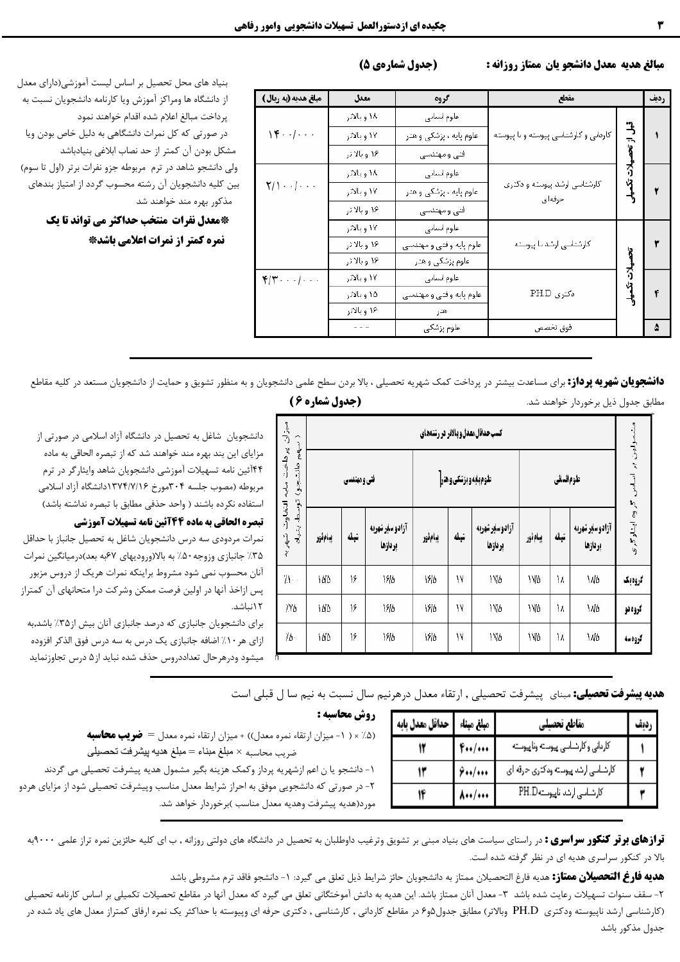(جدول شمارهي 5)

## مبالغ هديه معدل دانشجو يان ممتاز روزانه :

مطابق جدول ذیل برخوردار خواهند شد.

| رديف              | مقطع                                   | گروه<br>معدل            |              | مبلغ هديه (به ربال )                       |  |
|-------------------|----------------------------------------|-------------------------|--------------|--------------------------------------------|--|
|                   |                                        | علوم استانى             | ۱۸ و بالاتر  |                                            |  |
| قبل از تحصیلات تک | کاردانی و کارشناسی پیوسته و با پیوسته  | علوم پایه ، پزشکی و هنر | ۱۷ و بالاتر  | $\{\xi \cdot \cdot   \cdot \cdot \cdot \}$ |  |
|                   |                                        | فتى ومهندسى             | ۱۶ وبالاتر   |                                            |  |
|                   |                                        | علوم السالى             | ۱۸ و بالاتر  |                                            |  |
|                   | کارشناسی ارشد پیوسته و دکتری<br>حرفهای | علوم پایه ، پزشکی و هنر | ۱۷ و بالاتر  | $Y/\sqrt{2}$                               |  |
|                   |                                        | فتى ومهندسى             | ۱۶ وبالاتر   |                                            |  |
|                   |                                        | علوم السالى             | ۱۷ و بالاتر  |                                            |  |
|                   | کارشناسی ارشد یا پیوسته                | علوم پایه وفتی و مهندسی | ۱۶ وبالاتر   |                                            |  |
|                   |                                        | علوم پزشکی و هنر        | ۱۶ و بالا تر |                                            |  |
| オウ                |                                        | علوم انسانى             | ۱۷ و بالاتر  | $F/\Upsilon$                               |  |
|                   | ەكترى PH.D                             | علوم پایه وفتی و مهندسی | ۱۵ و بالاتر  |                                            |  |
|                   |                                        | هتر                     | ۱۶ و بالاتر  |                                            |  |
|                   | فوق نخصص                               | علوم پزشکی              |              |                                            |  |

بنیاد های محل تحصیل بر اساس لیست آموزشی(دارای معدل از دانشگاه ها ومراكز آموزش ويا كارنامه دانشجويان نسبت به پرداخت مبالغ اعلام شده اقدام خواهند نمود در صورتی که کل نمرات دانشگاهی به دلیل خاص بودن ویا شكل بودن آن كمتر از حد نصاب ابلاغي بنيادباشد ی دانشجو شاهد در ترم مربوطه جزو نفرات برتر (اول تا سوم)

ن کلیه دانشجویان آن رشته محسوب گردد از امتیاز بندهای مذکور بهره مند خواهند شد \*معدل نفرات منتخب حداكثر مي تواند تا يك

نمره کمتر از نمرات اعلامی باشد\*

**دانشجویان شهریه پرداز:** برای مساعدت بیشتر در پرداخت کمک شهریه تحصیلی ، بالا بردن سطح علمی دانشجویق و به منظور تشویق و حمایت از دانشجویان مستعد در کلیه مقاطع

#### (جدول شماره 6 )

| مبزان يرداخت مابه التقاوت شهريه<br>$\hat{z}$<br>بهم دانشجو)<br>توسط<br>بشياد | كسب حداقل معدل و بالاتر در رشتههای |              |                           |          |                    |                           |             |       |                             |         |
|------------------------------------------------------------------------------|------------------------------------|--------------|---------------------------|----------|--------------------|---------------------------|-------------|-------|-----------------------------|---------|
|                                                                              |                                    | فني و مهندسي |                           |          | طومېده وېزشکی وهنر |                           | علوم انساني |       | مولین پر اساس گروه اینارگری |         |
|                                                                              | يبامأور                            | شبائه        | آزادوسار شهريه<br>بردازها | يبام ثور | شبائه              | آزادوسار شهربه<br>بردازها | يبام ثور    | شبائه | آزادوسار شهريه<br>بردازها   |         |
| $\Lambda$ .                                                                  | 10/0                               | ۱۶           | 1810                      | 1810     | ١٧                 | ١٧۵                       | <b>IYA</b>  | ١٨    | 1 ND                        | گروهيگ  |
| 7.Y D                                                                        | 10/0                               | ۱۶           | 1910                      | 1810     | ١٧                 | ١٧Δ                       | ١٧b         | ۱۸    | 1 ND                        | گروه نو |
| 7Δ٠                                                                          | 10/0                               | ۱۶           | 1910                      | 1910     | ۱۷                 | ١٧D                       | ١W٥         | ١٨    | ١N٥                         | گروهسه  |

دانشجویان شاغل به تحصیل در دانشگاه آزاد اسلامی در صورتی از مزایای این بند بهره مند خواهند شد که از تبصره الحاقی به ماده ۴۴آئین نامه تسهیلات آموزشی دانشجویان شاهد وایثارگر در ترم مربوطه (مصوب جلسه ۳۰۴مورخ ۱۳۷۴/۷/۱۶دانشگاه آزاد اسلامی استفاده نکرده باشند ( واحد حذفی مطابق با تبصره نداشته باشد) تبصره الحاقي به ماده 44آئين نامه تسهيلات آموزشي نمرات مردودی سه درس دانشجویان شاغل به تحصیل جانباز با حداقل

۳۵٪ جانبازی وزوجه ۵۰٪ به بالا(ورودیهای ۶۷به بعد)درمیانگین نمرات آنان محسوب نمی شود مشروط براینکه نمرات هریک از دروس مزبور پس ازاخذ آنها در اولین فرصت ممکن وشرکت درا متحانهای آن کمتراز

برای دانشجویان جانبازی که درصد جانبازی آنان بیش از۳۵٪ باشد,به ازای هر ۱۰٪ اضافه جانبازی یک درس به سه درس فوق الذکر افزوده میشود ودرهرحال تعداددروس حذف شده نباید از۵ درس تجاوزنماید

**هدیه پیشرفت تحصیلی:** مبنای پیشرفت تحصیلی , ارتقاء معدل درهرنیم سال نسبت به نیم سا ل قبلی است

| حداقل معدل پایه | مبلغ مبناء | مقاطع تحصيلي                         |  |
|-----------------|------------|--------------------------------------|--|
|                 | $F_{**}/$  | كاردانى وكارشناسي يبوسته وتابيوسته   |  |
|                 | ۰۰۱/۰۰۰ کا | کارشناسی ارشد پیوسته ودکتاری حرقه ای |  |
|                 | ۰۰۰/۰۰۰ ۸  | کارشناسی ارشد تاییوست PH.D           |  |

روش محاسبه : (۵٪ × ( ١- ميزان ارتقاء نمره معدل)) + ميزان ارتقاء نمره معدل = ضريب محاسبه ضريب محاسبه × مبلغ مبناء = مبلغ هديه بيشرفت تحصيلي ١- دانشجو يا ن اعم ازشهريه پرداز وكمك هزينه بگير مشمول هديه پيشرفت تحصيلي مي گردند

۲- در صورتی که دانشجویی موفق به احراز شرایط معدل مناسب وپیشرفت تحصیلی شود از مزایای هردو مورد(هديه پيشرفت وهديه معدل مناسب )برخوردار خواهد شد.

قرازهای برتر کنکور سراسری : در راستای سیاست های بنیاد مبنی بر تشویق وترغیب داوطلبان به تحصیل در دانشگاه های دولتی روزانه , ب ای کلیه حائزین نمره تراز علمی ۹۰۰۰به بالا در کنکور سراسری هدیه ای در نظر گرفته شده است.

**هديه فارغ التحصيلان ممتاز:** هديه فارغ التحصيلان ممتاز به دانشجويان حائز شرايط ذيل تعلق مي گيرد: ١- دانشجو فاقد ترم مشروطي باشد

۲- سقف سنوات تسهيلات رعايت شده باشد ۳- معدل آنان ممتاز باشد. اين هديه به دانش آموختگاني تعلق مي گيرد كه معدل آنها در مقاطع تحصيلات تكميلي بر اساس كارنامه تحصيلي (کارشناسی ارشد ناپیوسته ودکتری PH.D وبالاتر) مطابق جدول۵و۶ در مقاطع کاردانی , کارشناسی , دکتری حرفه ای وپیوسته با حداکثر یک نمره ارفاق کمتراز معدل های یاد شده در جدول مذكور باشد